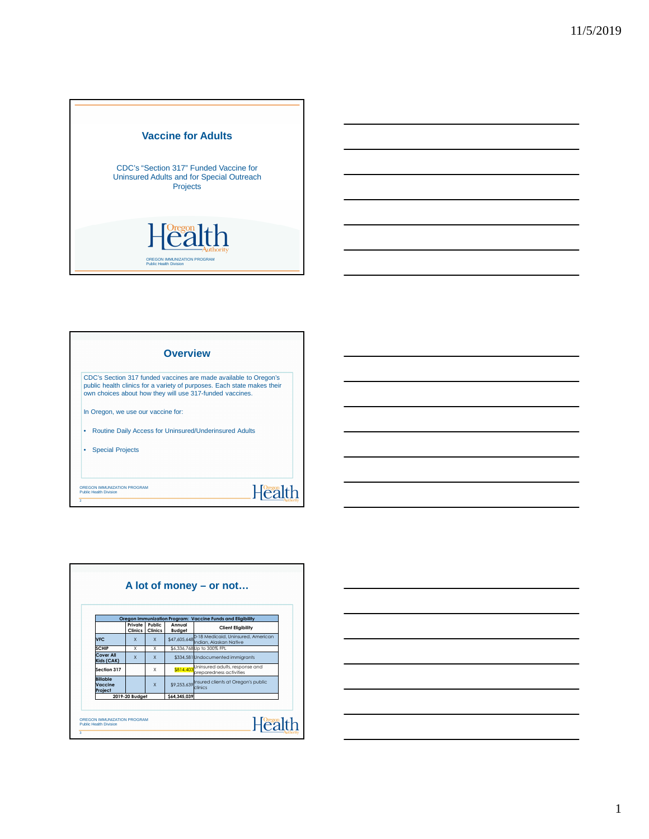

|                         |                                    | <b>Overview</b>                                          |                                                                                                                                             |  |
|-------------------------|------------------------------------|----------------------------------------------------------|---------------------------------------------------------------------------------------------------------------------------------------------|--|
|                         |                                    | own choices about how they will use 317-funded vaccines. | CDC's Section 317 funded vaccines are made available to Oregon's<br>public health clinics for a variety of purposes. Each state makes their |  |
|                         | In Oregon, we use our vaccine for: |                                                          |                                                                                                                                             |  |
| ٠                       |                                    | Routine Daily Access for Uninsured/Underinsured Adults   |                                                                                                                                             |  |
| <b>Special Projects</b> |                                    |                                                          |                                                                                                                                             |  |
|                         |                                    |                                                          |                                                                                                                                             |  |

| Oregon Immunization Program: Vaccine Funds and Eligibility<br>Public<br>Private<br>Annual<br><b>Client Eligibility</b><br>Clinics  <br><b>Clinics</b><br>Budget |              |              |             |                                                                           |  |  |  |
|-----------------------------------------------------------------------------------------------------------------------------------------------------------------|--------------|--------------|-------------|---------------------------------------------------------------------------|--|--|--|
| <b>NFC</b>                                                                                                                                                      | $\mathsf{x}$ | $\mathsf{x}$ |             | \$47,605,648 0-18 Medicaid, Uninsured, American<br>Indian, Alaskan Native |  |  |  |
| SCHIP                                                                                                                                                           | X            | X            |             | \$6,336,768 Up to 300% FPL                                                |  |  |  |
| Cover All<br>Kids (CAK)                                                                                                                                         | $\mathsf{x}$ | $\mathsf{x}$ |             | \$334,581 Undocumented immigrants                                         |  |  |  |
| Section 317                                                                                                                                                     |              | X            |             | \$814,403 Uninsured adults, response and<br>preparedness activities       |  |  |  |
| <b>Billable</b><br>Vaccine<br>Project                                                                                                                           |              | $\mathsf{x}$ |             | \$9,253,639 nsured clients at Oregon's public<br>clinics                  |  |  |  |
| 2019-20 Budget                                                                                                                                                  |              |              | S64.345.039 |                                                                           |  |  |  |

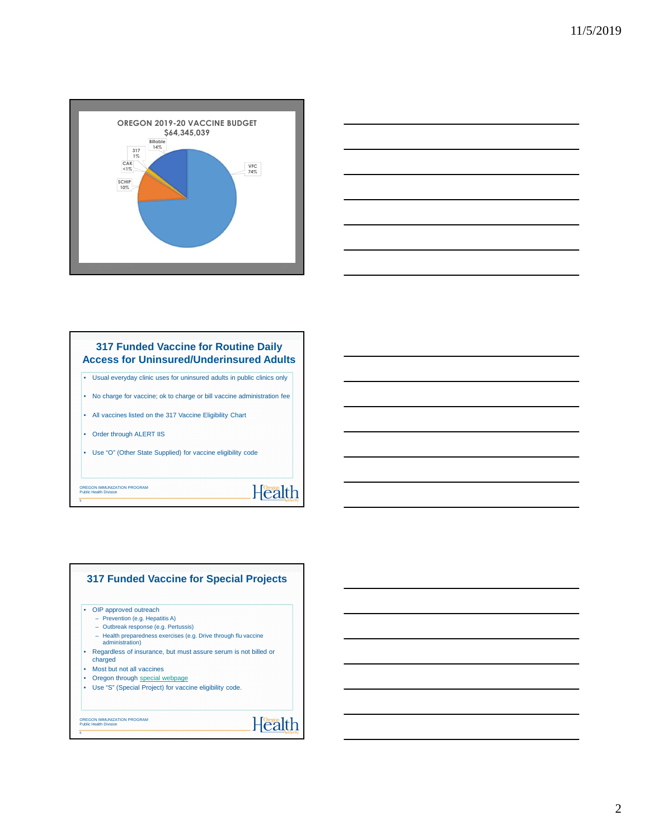



## **317 Funded Vaccine for Routine Daily Access for Uninsured/Underinsured Adults**

• Usual everyday clinic uses for uninsured adults in public clinics only

• No charge for vaccine; ok to charge or bill vaccine administration fee

Health

- All vaccines listed on the 317 Vaccine Eligibility Chart
- Order through ALERT IIS
- Use "O" (Other State Supplied) for vaccine eligibility code

OREGON IMMUNIZATION PROGRAM Public Health Division

5



2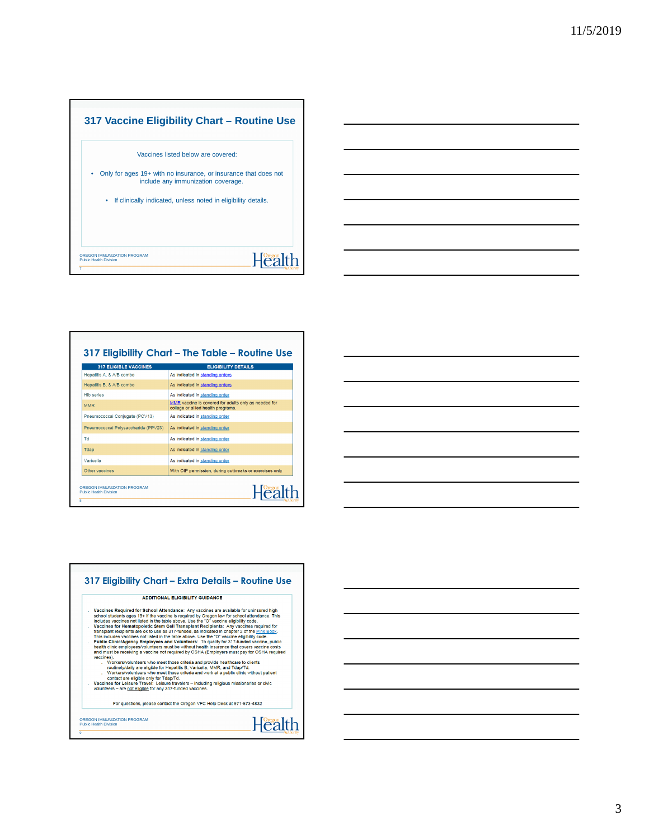

| <b>317 ELIGIBLE VACCINES</b>        | <b>ELIGIBILITY DETAILS</b>                                                                 |
|-------------------------------------|--------------------------------------------------------------------------------------------|
| Hepatitis A, & A/B combo            | As indicated in standing orders                                                            |
| Hepatitis B. & A/B combo            | As indicated in standing orders                                                            |
| <b>Hib series</b>                   | As indicated in standing order                                                             |
| <b>MMR</b>                          | MMR vaccine is covered for adults only as needed for<br>college or allied health programs. |
| Pneumococcal Conjugate (PCV13)      | As indicated in standing order                                                             |
| Pneumococcal Polysaccharide (PPV23) | As indicated in standing order                                                             |
| Td                                  | As indicated in standing order                                                             |
| Tdap                                | As indicated in standing order                                                             |
| Varicella                           | As indicated in standing order                                                             |
| Other vaccines                      | With OIP permission, during outbreaks or exercises only                                    |

|            | <b>ADDITIONAL FLIGIRILITY GUIDANCE</b>                                                                                                                                                                                                                                                                                                                       |                                                                                                                                                                                                                                                                                                                                                                                                                                                                                                                                                                                                                                                                                                                                                                                                                                                                                                                                                                      |
|------------|--------------------------------------------------------------------------------------------------------------------------------------------------------------------------------------------------------------------------------------------------------------------------------------------------------------------------------------------------------------|----------------------------------------------------------------------------------------------------------------------------------------------------------------------------------------------------------------------------------------------------------------------------------------------------------------------------------------------------------------------------------------------------------------------------------------------------------------------------------------------------------------------------------------------------------------------------------------------------------------------------------------------------------------------------------------------------------------------------------------------------------------------------------------------------------------------------------------------------------------------------------------------------------------------------------------------------------------------|
| vaccines). | includes vaccines not listed in the table above. Use the "O" vaccine eligibility code,<br>Workers/volunteers who meet those criteria and provide healthcare to clients<br>routinely/daily are eligible for Hepatitis B, Varicella, MMR, and Tdap/Td,<br>contact are eligible only for Tdap/Td.<br>volunteers - are not eligible for any 317-funded vaccines. | Vaccines Required for School Attendance: Any vaccines are available for uninsured high<br>school students ages 19+ if the vaccine is required by Oregon law for school attendance. This<br>Vaccines for Hematopoietic Stem Cell Transplant Recipients: Any vaccines required for<br>transplant recipients are ok to use as 317-funded, as indicated in chapter 2 of the Pink Book.<br>This includes vaccines not listed in the table above. Use the "O" vaccine eligibility code.<br>Public Clinic/Agency Employees and Volunteers: To qualify for 317-funded vaccine, public<br>health clinic employees/volunteers must be without health insurance that covers vaccine costs<br>and must be receiving a vaccine not required by OSHA (Employers must pay for OSHA required<br>Workers/volunteers who meet those criteria and work at a public clinic without patient<br>Vaccines for Leisure Travel: Leisure travelers - including religious missionaries or civic |
|            | For questions, please contact the Oregon VFC Help Desk at 971-673-4832                                                                                                                                                                                                                                                                                       |                                                                                                                                                                                                                                                                                                                                                                                                                                                                                                                                                                                                                                                                                                                                                                                                                                                                                                                                                                      |

3